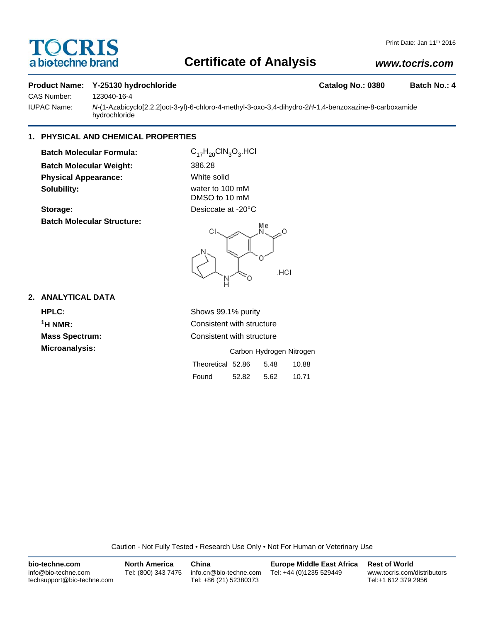# **TOCRIS** a biotechne brand

# **Certificate of Analysis**

# *www.tocris.com*

#### **Product Name: Y-25130 hydrochloride Catalog No.: 0380 Batch No.: 4**

CAS Number: 123040-16-4

IUPAC Name: *N*-(1-Azabicyclo[2.2.2]oct-3-yl)-6-chloro-4-methyl-3-oxo-3,4-dihydro-2*H*-1,4-benzoxazine-8-carboxamide hydrochloride

### **1. PHYSICAL AND CHEMICAL PROPERTIES**

**Batch Molecular Formula:** C<sub>17</sub>H<sub>20</sub>ClN<sub>3</sub>O<sub>3</sub>.HCl **Batch Molecular Weight:** 386.28 **Physical Appearance:** White solid **Solubility:** water to 100 mM

**Batch Molecular Structure:**

DMSO to 10 mM **Storage:** Desiccate at -20°C



### **2. ANALYTICAL DATA**

**HPLC:** Shows 99.1% purity

**1H NMR:** Consistent with structure **Mass Spectrum:** Consistent with structure

| <b>Microanalysis:</b> | Carbon Hydrogen Nitrogen |       |      |       |
|-----------------------|--------------------------|-------|------|-------|
|                       | Theoretical 52.86 5.48   |       |      | 10.88 |
|                       | Found                    | 52.82 | 5.62 | 10.71 |

Caution - Not Fully Tested • Research Use Only • Not For Human or Veterinary Use

| bio-techne.com                                    | <b>North America</b> | China                                            | Europe Middle East Africa | <b>Rest of World</b>                               |
|---------------------------------------------------|----------------------|--------------------------------------------------|---------------------------|----------------------------------------------------|
| info@bio-techne.com<br>techsupport@bio-techne.com | Tel: (800) 343 7475  | info.cn@bio-techne.com<br>Tel: +86 (21) 52380373 | Tel: +44 (0)1235 529449   | www.tocris.com/distributors<br>Tel:+1 612 379 2956 |